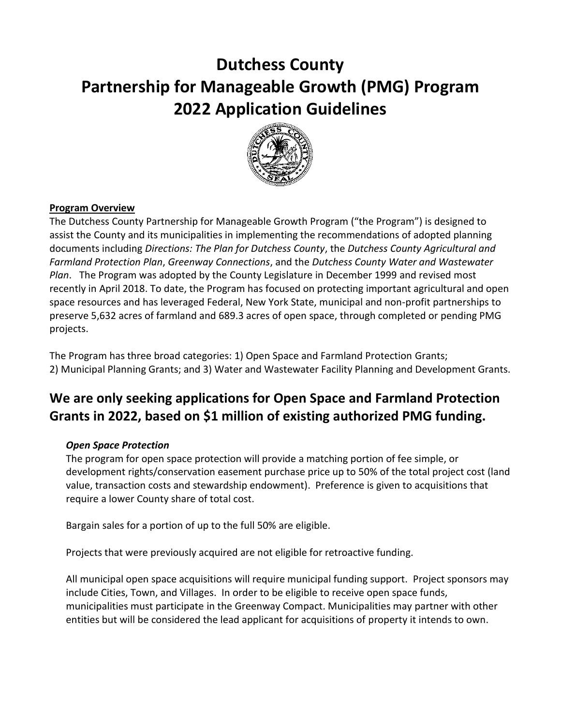# **Dutchess County Partnership for Manageable Growth (PMG) Program 2022 Application Guidelines**



# **Program Overview**

The Dutchess County Partnership for Manageable Growth Program ("the Program") is designed to assist the County and its municipalities in implementing the recommendations of adopted planning documents including *Directions: The Plan for Dutchess County*, the *Dutchess County Agricultural and Farmland Protection Plan*, *Greenway Connections*, and the *Dutchess County Water and Wastewater Plan*. The Program was adopted by the County Legislature in December 1999 and revised most recently in April 2018. To date, the Program has focused on protecting important agricultural and open space resources and has leveraged Federal, New York State, municipal and non-profit partnerships to preserve 5,632 acres of farmland and 689.3 acres of open space, through completed or pending PMG projects.

The Program has three broad categories: 1) Open Space and Farmland Protection Grants; 2) Municipal Planning Grants; and 3) Water and Wastewater Facility Planning and Development Grants.

# **We are only seeking applications for Open Space and Farmland Protection Grants in 2022, based on \$1 million of existing authorized PMG funding.**

#### *Open Space Protection*

The program for open space protection will provide a matching portion of fee simple, or development rights/conservation easement purchase price up to 50% of the total project cost (land value, transaction costs and stewardship endowment). Preference is given to acquisitions that require a lower County share of total cost.

Bargain sales for a portion of up to the full 50% are eligible.

Projects that were previously acquired are not eligible for retroactive funding.

All municipal open space acquisitions will require municipal funding support. Project sponsors may include Cities, Town, and Villages. In order to be eligible to receive open space funds, municipalities must participate in the Greenway Compact. Municipalities may partner with other entities but will be considered the lead applicant for acquisitions of property it intends to own.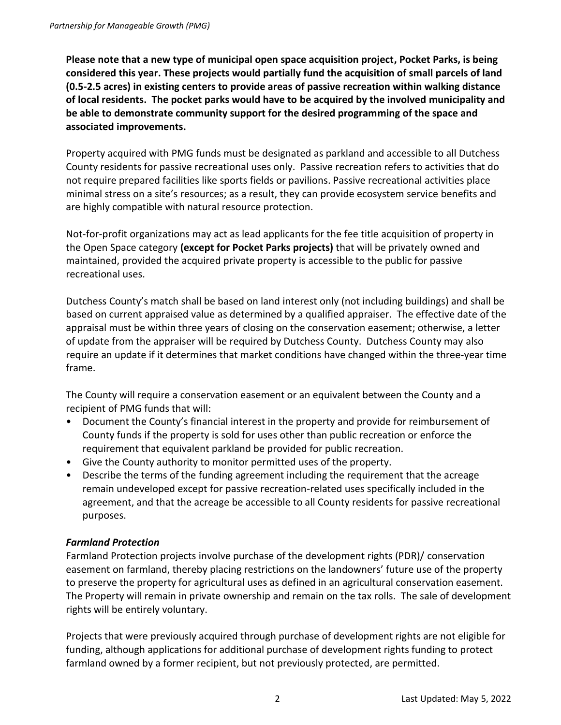**Please note that a new type of municipal open space acquisition project, Pocket Parks, is being considered this year. These projects would partially fund the acquisition of small parcels of land (0.5-2.5 acres) in existing centers to provide areas of passive recreation within walking distance of local residents. The pocket parks would have to be acquired by the involved municipality and be able to demonstrate community support for the desired programming of the space and associated improvements.**

Property acquired with PMG funds must be designated as parkland and accessible to all Dutchess County residents for passive recreational uses only. Passive recreation refers to activities that do not require prepared facilities like sports fields or pavilions. Passive recreational activities place minimal stress on a site's resources; as a result, they can provide ecosystem service benefits and are highly compatible with natural resource protection.

Not-for-profit organizations may act as lead applicants for the fee title acquisition of property in the Open Space category **(except for Pocket Parks projects)** that will be privately owned and maintained, provided the acquired private property is accessible to the public for passive recreational uses.

Dutchess County's match shall be based on land interest only (not including buildings) and shall be based on current appraised value as determined by a qualified appraiser. The effective date of the appraisal must be within three years of closing on the conservation easement; otherwise, a letter of update from the appraiser will be required by Dutchess County. Dutchess County may also require an update if it determines that market conditions have changed within the three-year time frame.

The County will require a conservation easement or an equivalent between the County and a recipient of PMG funds that will:

- Document the County's financial interest in the property and provide for reimbursement of County funds if the property is sold for uses other than public recreation or enforce the requirement that equivalent parkland be provided for public recreation.
- Give the County authority to monitor permitted uses of the property.
- Describe the terms of the funding agreement including the requirement that the acreage remain undeveloped except for passive recreation-related uses specifically included in the agreement, and that the acreage be accessible to all County residents for passive recreational purposes.

# *Farmland Protection*

Farmland Protection projects involve purchase of the development rights (PDR)/ conservation easement on farmland, thereby placing restrictions on the landowners' future use of the property to preserve the property for agricultural uses as defined in an agricultural conservation easement. The Property will remain in private ownership and remain on the tax rolls. The sale of development rights will be entirely voluntary.

Projects that were previously acquired through purchase of development rights are not eligible for funding, although applications for additional purchase of development rights funding to protect farmland owned by a former recipient, but not previously protected, are permitted.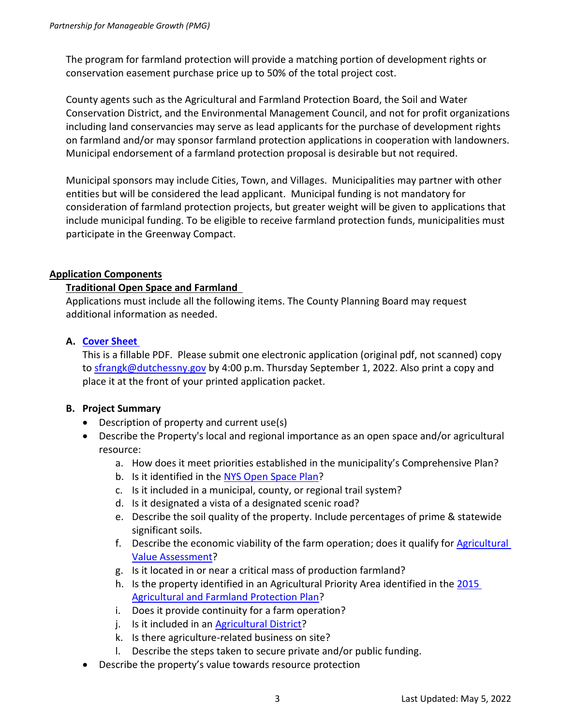The program for farmland protection will provide a matching portion of development rights or conservation easement purchase price up to 50% of the total project cost.

County agents such as the Agricultural and Farmland Protection Board, the Soil and Water Conservation District, and the Environmental Management Council, and not for profit organizations including land conservancies may serve as lead applicants for the purchase of development rights on farmland and/or may sponsor farmland protection applications in cooperation with landowners. Municipal endorsement of a farmland protection proposal is desirable but not required.

Municipal sponsors may include Cities, Town, and Villages. Municipalities may partner with other entities but will be considered the lead applicant. Municipal funding is not mandatory for consideration of farmland protection projects, but greater weight will be given to applications that include municipal funding. To be eligible to receive farmland protection funds, municipalities must participate in the Greenway Compact.

# **Application Components**

#### **Traditional Open Space and Farmland**

Applications must include all the following items. The County Planning Board may request additional information as needed.

#### **A. [Cover Sheet](https://www.dutchessny.gov/ConCalAtt/251/PMGApplicationCoverSheet2022.pdf)**

This is a fillable PDF. Please submit one electronic application (original pdf, not scanned) copy to [sfrangk@dutchessny.gov](mailto:sfrangk@dutchessny.gov) by 4:00 p.m. Thursday September 1, 2022. Also print a copy and place it at the front of your printed application packet.

# **B. Project Summary**

- Description of property and current use(s)
- Describe the Property's local and regional importance as an open space and/or agricultural resource:
	- a. How does it meet priorities established in the municipality's Comprehensive Plan?
	- b. Is it identified in the [NYS Open Space Plan?](http://www.dec.ny.gov/lands/98720.html)
	- c. Is it included in a municipal, county, or regional trail system?
	- d. Is it designated a vista of a designated scenic road?
	- e. Describe the soil quality of the property. Include percentages of prime & statewide significant soils.
	- f. Describe the economic viability of the farm operation; does it qualify for [Agricultural](https://www.tax.ny.gov/research/property/assess/valuation/ag_overview.htm)  [Value Assessment?](https://www.tax.ny.gov/research/property/assess/valuation/ag_overview.htm)
	- g. Is it located in or near a critical mass of production farmland?
	- h. Is the property identified in an Agricultural Priority Area identified in th[e 2015](https://www.dutchessny.gov/Departments/Planning/Agricultural-Plan-Actions.htm)  [Agricultural and Farmland Protection Plan?](https://www.dutchessny.gov/Departments/Planning/Agricultural-Plan-Actions.htm)
	- i. Does it provide continuity for a farm operation?
	- j. Is it included in an [Agricultural District?](https://www.dutchessny.gov/Departments/Planning/Agricultural-Districts.htm)
	- k. Is there agriculture-related business on site?
	- l. Describe the steps taken to secure private and/or public funding.
- Describe the property's value towards resource protection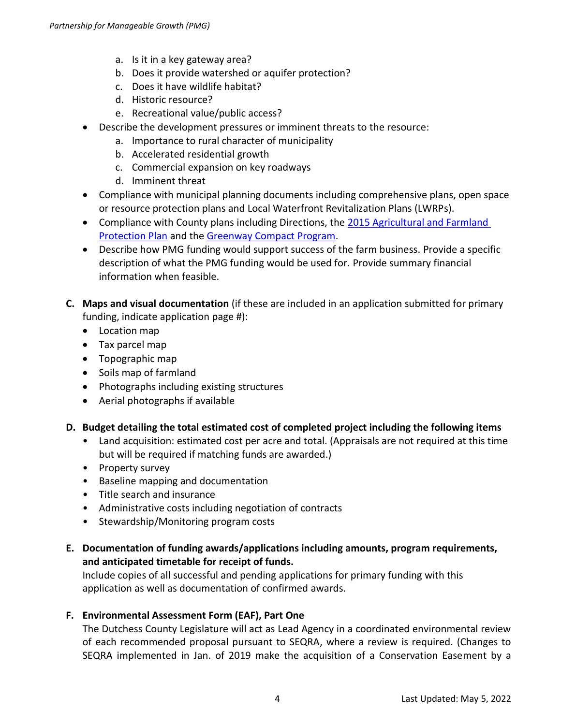- a. Is it in a key gateway area?
- b. Does it provide watershed or aquifer protection?
- c. Does it have wildlife habitat?
- d. Historic resource?
- e. Recreational value/public access?
- Describe the development pressures or imminent threats to the resource:
	- a. Importance to rural character of municipality
	- b. Accelerated residential growth
	- c. Commercial expansion on key roadways
	- d. Imminent threat
- Compliance with municipal planning documents including comprehensive plans, open space or resource protection plans and Local Waterfront Revitalization Plans (LWRPs).
- Compliance with County plans including Directions, the [2015 Agricultural](https://www.dutchessny.gov/Departments/Planning/Agricultural-Plan-Actions.htm) and Farmland [Protection Plan](https://www.dutchessny.gov/Departments/Planning/Agricultural-Plan-Actions.htm) and th[e Greenway Compact Program.](https://www.dutchessny.gov/Departments/Planning/Greenway-Connections-Guides.htm)
- Describe how PMG funding would support success of the farm business. Provide a specific description of what the PMG funding would be used for. Provide summary financial information when feasible.
- **C. Maps and visual documentation** (if these are included in an application submitted for primary funding, indicate application page #):
	- Location map
	- Tax parcel map
	- Topographic map
	- Soils map of farmland
	- Photographs including existing structures
	- Aerial photographs if available

# **D. Budget detailing the total estimated cost of completed project including the following items**

- Land acquisition: estimated cost per acre and total. (Appraisals are not required at this time but will be required if matching funds are awarded.)
- Property survey
- Baseline mapping and documentation
- Title search and insurance
- Administrative costs including negotiation of contracts
- Stewardship/Monitoring program costs
- **E. Documentation of funding awards/applications including amounts, program requirements, and anticipated timetable for receipt of funds.**

Include copies of all successful and pending applications for primary funding with this application as well as documentation of confirmed awards.

# **F. Environmental Assessment Form (EAF), Part One**

The Dutchess County Legislature will act as Lead Agency in a coordinated environmental review of each recommended proposal pursuant to SEQRA, where a review is required. (Changes to SEQRA implemented in Jan. of 2019 make the acquisition of a Conservation Easement by a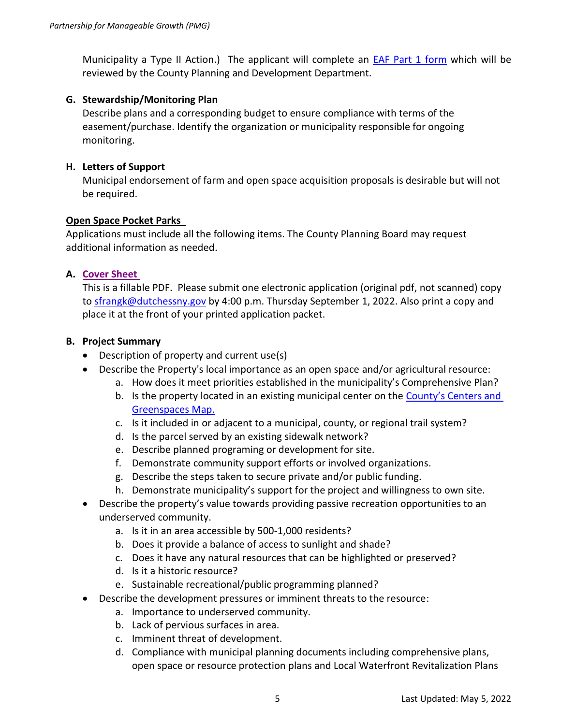Municipality a Type II Action.) The applicant will complete an **EAF Part 1 form which will be** reviewed by the County Planning and Development Department.

#### **G. Stewardship/Monitoring Plan**

Describe plans and a corresponding budget to ensure compliance with terms of the easement/purchase. Identify the organization or municipality responsible for ongoing monitoring.

#### **H. Letters of Support**

Municipal endorsement of farm and open space acquisition proposals is desirable but will not be required.

#### **Open Space Pocket Parks**

Applications must include all the following items. The County Planning Board may request additional information as needed.

#### **A. [Cover Sheet](https://www.dutchessny.gov/ConCalAtt/251/PMGApplicationCoverSheet2022.pdf)**

This is a fillable PDF. Please submit one electronic application (original pdf, not scanned) copy to [sfrangk@dutchessny.gov](mailto:sfrangk@dutchessny.gov) by 4:00 p.m. Thursday September 1, 2022. Also print a copy and place it at the front of your printed application packet.

#### **B. Project Summary**

- Description of property and current use(s)
- Describe the Property's local importance as an open space and/or agricultural resource:
	- a. How does it meet priorities established in the municipality's Comprehensive Plan?
	- b. Is the property located in an existing municipal center on the County's Centers and [Greenspaces Map.](https://www.dutchessny.gov/Departments/Planning/Docs/Countywide-Map.pdf)
	- c. Is it included in or adjacent to a municipal, county, or regional trail system?
	- d. Is the parcel served by an existing sidewalk network?
	- e. Describe planned programing or development for site.
	- f. Demonstrate community support efforts or involved organizations.
	- g. Describe the steps taken to secure private and/or public funding.
	- h. Demonstrate municipality's support for the project and willingness to own site.
- Describe the property's value towards providing passive recreation opportunities to an underserved community.
	- a. Is it in an area accessible by 500-1,000 residents?
	- b. Does it provide a balance of access to sunlight and shade?
	- c. Does it have any natural resources that can be highlighted or preserved?
	- d. Is it a historic resource?
	- e. Sustainable recreational/public programming planned?
- Describe the development pressures or imminent threats to the resource:
	- a. Importance to underserved community.
	- b. Lack of pervious surfaces in area.
	- c. Imminent threat of development.
	- d. Compliance with municipal planning documents including comprehensive plans, open space or resource protection plans and Local Waterfront Revitalization Plans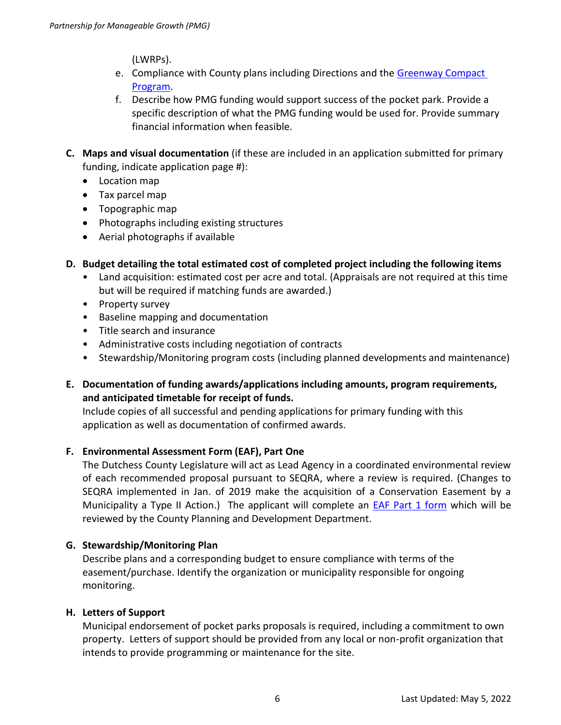(LWRPs).

- e. Compliance with County plans including Directions and the Greenway Compact [Program.](https://www.dutchessny.gov/Departments/Planning/Greenway-Connections-Guides.htm)
- f. Describe how PMG funding would support success of the pocket park. Provide a specific description of what the PMG funding would be used for. Provide summary financial information when feasible.
- **C. Maps and visual documentation** (if these are included in an application submitted for primary funding, indicate application page #):
	- Location map
	- Tax parcel map
	- Topographic map
	- Photographs including existing structures
	- Aerial photographs if available
- **D. Budget detailing the total estimated cost of completed project including the following items** 
	- Land acquisition: estimated cost per acre and total. (Appraisals are not required at this time but will be required if matching funds are awarded.)
	- Property survey
	- Baseline mapping and documentation
	- Title search and insurance
	- Administrative costs including negotiation of contracts
	- Stewardship/Monitoring program costs (including planned developments and maintenance)
- **E. Documentation of funding awards/applications including amounts, program requirements, and anticipated timetable for receipt of funds.**

Include copies of all successful and pending applications for primary funding with this application as well as documentation of confirmed awards.

# **F. Environmental Assessment Form (EAF), Part One**

The Dutchess County Legislature will act as Lead Agency in a coordinated environmental review of each recommended proposal pursuant to SEQRA, where a review is required. (Changes to SEQRA implemented in Jan. of 2019 make the acquisition of a Conservation Easement by a Municipality a Type II Action.) The applicant will complete an [EAF Part 1 form](http://www.dec.ny.gov/docs/permits_ej_operations_pdf/feafpart1.pdf) which will be reviewed by the County Planning and Development Department.

#### **G. Stewardship/Monitoring Plan**

Describe plans and a corresponding budget to ensure compliance with terms of the easement/purchase. Identify the organization or municipality responsible for ongoing monitoring.

# **H. Letters of Support**

Municipal endorsement of pocket parks proposals is required, including a commitment to own property. Letters of support should be provided from any local or non-profit organization that intends to provide programming or maintenance for the site.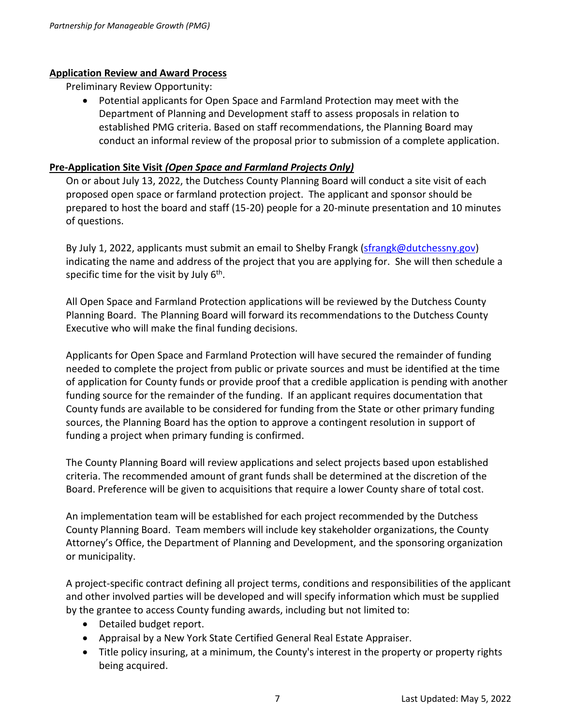#### **Application Review and Award Process**

Preliminary Review Opportunity:

• Potential applicants for Open Space and Farmland Protection may meet with the Department of Planning and Development staff to assess proposals in relation to established PMG criteria. Based on staff recommendations, the Planning Board may conduct an informal review of the proposal prior to submission of a complete application.

#### **Pre-Application Site Visit** *(Open Space and Farmland Projects Only)*

On or about July 13, 2022, the Dutchess County Planning Board will conduct a site visit of each proposed open space or farmland protection project. The applicant and sponsor should be prepared to host the board and staff (15-20) people for a 20-minute presentation and 10 minutes of questions.

By July 1, 2022, applicants must submit an email to Shelby Frangk [\(sfrangk@dutchessny.gov\)](mailto:sfrangk@dutchessny.gov) indicating the name and address of the project that you are applying for. She will then schedule a specific time for the visit by July  $6^{\text{th}}$ .

All Open Space and Farmland Protection applications will be reviewed by the Dutchess County Planning Board. The Planning Board will forward its recommendations to the Dutchess County Executive who will make the final funding decisions.

Applicants for Open Space and Farmland Protection will have secured the remainder of funding needed to complete the project from public or private sources and must be identified at the time of application for County funds or provide proof that a credible application is pending with another funding source for the remainder of the funding. If an applicant requires documentation that County funds are available to be considered for funding from the State or other primary funding sources, the Planning Board has the option to approve a contingent resolution in support of funding a project when primary funding is confirmed.

The County Planning Board will review applications and select projects based upon established criteria. The recommended amount of grant funds shall be determined at the discretion of the Board. Preference will be given to acquisitions that require a lower County share of total cost.

An implementation team will be established for each project recommended by the Dutchess County Planning Board. Team members will include key stakeholder organizations, the County Attorney's Office, the Department of Planning and Development, and the sponsoring organization or municipality.

A project-specific contract defining all project terms, conditions and responsibilities of the applicant and other involved parties will be developed and will specify information which must be supplied by the grantee to access County funding awards, including but not limited to:

- Detailed budget report.
- Appraisal by a New York State Certified General Real Estate Appraiser.
- Title policy insuring, at a minimum, the County's interest in the property or property rights being acquired.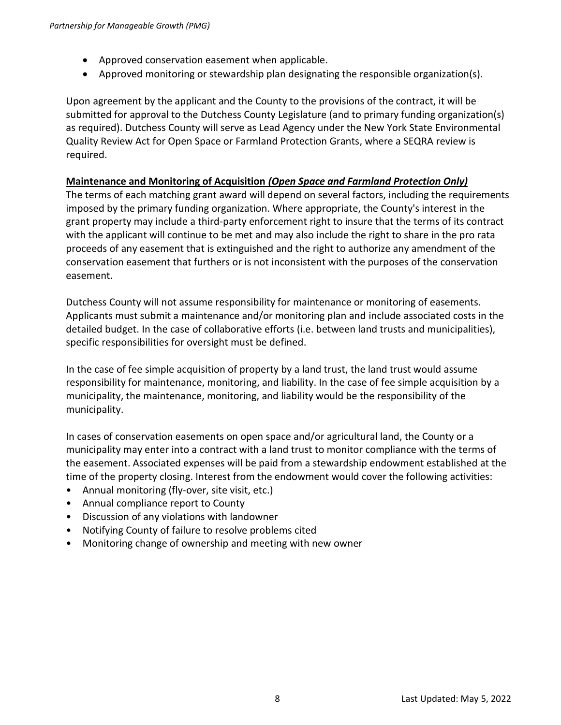- Approved conservation easement when applicable.
- Approved monitoring or stewardship plan designating the responsible organization(s).

Upon agreement by the applicant and the County to the provisions of the contract, it will be submitted for approval to the Dutchess County Legislature (and to primary funding organization(s) as required). Dutchess County will serve as Lead Agency under the New York State Environmental Quality Review Act for Open Space or Farmland Protection Grants, where a SEQRA review is required.

# **Maintenance and Monitoring of Acquisition** *(Open Space and Farmland Protection Only)*

The terms of each matching grant award will depend on several factors, including the requirements imposed by the primary funding organization. Where appropriate, the County's interest in the grant property may include a third-party enforcement right to insure that the terms of its contract with the applicant will continue to be met and may also include the right to share in the pro rata proceeds of any easement that is extinguished and the right to authorize any amendment of the conservation easement that furthers or is not inconsistent with the purposes of the conservation easement.

Dutchess County will not assume responsibility for maintenance or monitoring of easements. Applicants must submit a maintenance and/or monitoring plan and include associated costs in the detailed budget. In the case of collaborative efforts (i.e. between land trusts and municipalities), specific responsibilities for oversight must be defined.

In the case of fee simple acquisition of property by a land trust, the land trust would assume responsibility for maintenance, monitoring, and liability. In the case of fee simple acquisition by a municipality, the maintenance, monitoring, and liability would be the responsibility of the municipality.

In cases of conservation easements on open space and/or agricultural land, the County or a municipality may enter into a contract with a land trust to monitor compliance with the terms of the easement. Associated expenses will be paid from a stewardship endowment established at the time of the property closing. Interest from the endowment would cover the following activities:

- Annual monitoring (fly-over, site visit, etc.)
- Annual compliance report to County
- Discussion of any violations with landowner
- Notifying County of failure to resolve problems cited
- Monitoring change of ownership and meeting with new owner